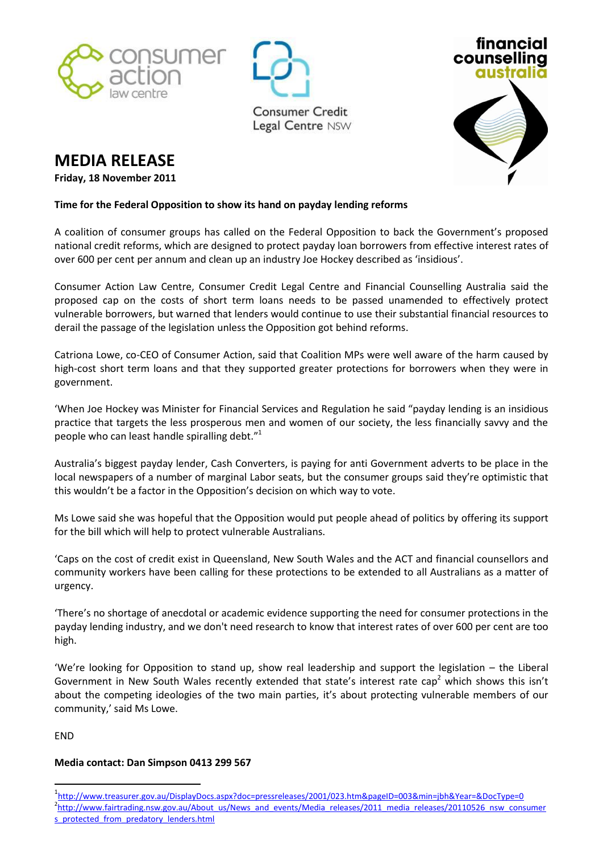





## **MEDIA RELEASE**

**Friday, 18 November 2011**

## **Time for the Federal Opposition to show its hand on payday lending reforms**

A coalition of consumer groups has called on the Federal Opposition to back the Government's proposed national credit reforms, which are designed to protect payday loan borrowers from effective interest rates of over 600 per cent per annum and clean up an industry Joe Hockey described as 'insidious'.

Consumer Action Law Centre, Consumer Credit Legal Centre and Financial Counselling Australia said the proposed cap on the costs of short term loans needs to be passed unamended to effectively protect vulnerable borrowers, but warned that lenders would continue to use their substantial financial resources to derail the passage of the legislation unless the Opposition got behind reforms.

Catriona Lowe, co-CEO of Consumer Action, said that Coalition MPs were well aware of the harm caused by high-cost short term loans and that they supported greater protections for borrowers when they were in government.

'When Joe Hockey was Minister for Financial Services and Regulation he said "payday lending is an insidious practice that targets the less prosperous men and women of our society, the less financially savvy and the people who can least handle spiralling debt."<sup>1</sup>

Australia's biggest payday lender, Cash Converters, is paying for anti Government adverts to be place in the local newspapers of a number of marginal Labor seats, but the consumer groups said they're optimistic that this wouldn't be a factor in the Opposition's decision on which way to vote.

Ms Lowe said she was hopeful that the Opposition would put people ahead of politics by offering its support for the bill which will help to protect vulnerable Australians.

'Caps on the cost of credit exist in Queensland, New South Wales and the ACT and financial counsellors and community workers have been calling for these protections to be extended to all Australians as a matter of urgency.

'There's no shortage of anecdotal or academic evidence supporting the need for consumer protections in the payday lending industry, and we don't need research to know that interest rates of over 600 per cent are too high.

'We're looking for Opposition to stand up, show real leadership and support the legislation – the Liberal Government in New South Wales recently extended that state's interest rate cap<sup>2</sup> which shows this isn't about the competing ideologies of the two main parties, it's about protecting vulnerable members of our community,' said Ms Lowe.

END

 $\overline{a}$ 

## **Media contact: Dan Simpson 0413 299 567**

<sup>1</sup> <http://www.treasurer.gov.au/DisplayDocs.aspx?doc=pressreleases/2001/023.htm&pageID=003&min=jbh&Year=&DocType=0> <sup>2</sup>[http://www.fairtrading.nsw.gov.au/About\\_us/News\\_and\\_events/Media\\_releases/2011\\_media\\_releases/20110526\\_nsw\\_consumer](http://www.fairtrading.nsw.gov.au/About_us/News_and_events/Media_releases/2011_media_releases/20110526_nsw_consumers_protected_from_predatory_lenders.html) [s\\_protected\\_from\\_predatory\\_lenders.html](http://www.fairtrading.nsw.gov.au/About_us/News_and_events/Media_releases/2011_media_releases/20110526_nsw_consumers_protected_from_predatory_lenders.html)